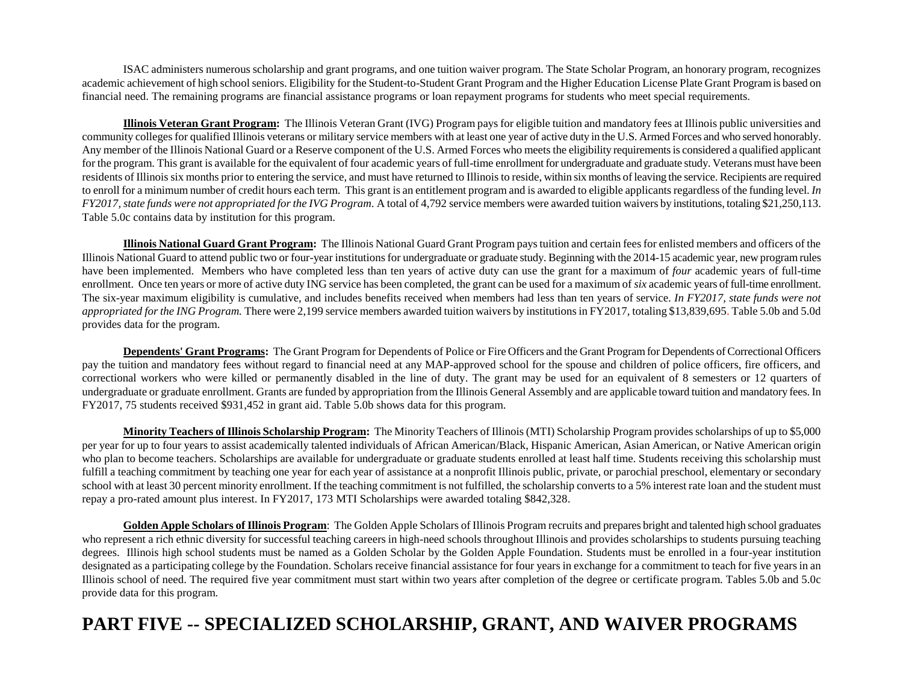ISAC administers numerous scholarship and grant programs, and one tuition waiver program. The State Scholar Program, an honorary program, recognizes academic achievement of high school seniors. Eligibility for the Student-to-Student Grant Program and the Higher Education License Plate Grant Program is based on financial need. The remaining programs are financial assistance programs or loan repayment programs for students who meet special requirements.

**Illinois Veteran Grant Program:** The Illinois Veteran Grant (IVG) Program pays for eligible tuition and mandatory fees at Illinois public universities and community colleges for qualified Illinois veterans or military service members with at least one year of active duty in the U.S. Armed Forces and who served honorably. Any member of the Illinois National Guard or a Reserve component of the U.S. Armed Forces who meets the eligibility requirements is considered a qualified applicant for the program. This grant is available for the equivalent of four academic years of full-time enrollment for undergraduate and graduate study. Veterans must have been residents of Illinois six months prior to entering the service, and must have returned to Illinois to reside, within six months of leaving the service. Recipients are required to enroll for a minimum number of credit hours each term. This grant is an entitlement program and is awarded to eligible applicants regardless of the funding level. *In FY2017, state funds were not appropriated for the IVG Program.* A total of 4,792 service members were awarded tuition waivers by institutions, totaling \$21,250,113. Table 5.0c contains data by institution for this program.

**Illinois National Guard Grant Program:** The Illinois National Guard Grant Program pays tuition and certain fees for enlisted members and officers of the Illinois National Guard to attend public two or four-year institutions for undergraduate or graduate study. Beginning with the 2014-15 academic year, new program rules have been implemented. Members who have completed less than ten years of active duty can use the grant for a maximum of *four* academic years of full-time enrollment. Once ten years or more of active duty ING service has been completed, the grant can be used for a maximum of *six* academic years of full-time enrollment. The six-year maximum eligibility is cumulative, and includes benefits received when members had less than ten years of service. *In FY2017, state funds were not appropriated for the ING Program.* There were 2,199 service members awarded tuition waivers by institutions in FY2017, totaling \$13,839,695. Table 5.0b and 5.0d provides data for the program.

**Dependents' Grant Programs:** The Grant Program for Dependents of Police or Fire Officers and the Grant Program for Dependents of Correctional Officers pay the tuition and mandatory fees without regard to financial need at any MAP-approved school for the spouse and children of police officers, fire officers, and correctional workers who were killed or permanently disabled in the line of duty. The grant may be used for an equivalent of 8 semesters or 12 quarters of undergraduate or graduate enrollment. Grants are funded by appropriation from the Illinois General Assembly and are applicable toward tuition and mandatory fees. In FY2017, 75 students received \$931,452 in grant aid. Table 5.0b shows data for this program.

**Minority Teachers of Illinois Scholarship Program:** The Minority Teachers of Illinois (MTI) Scholarship Program provides scholarships of up to \$5,000 per year for up to four years to assist academically talented individuals of African American/Black, Hispanic American, Asian American, or Native American origin who plan to become teachers. Scholarships are available for undergraduate or graduate students enrolled at least half time. Students receiving this scholarship must fulfill a teaching commitment by teaching one year for each year of assistance at a nonprofit Illinois public, private, or parochial preschool, elementary or secondary school with at least 30 percent minority enrollment. If the teaching commitment is not fulfilled, the scholarship converts to a 5% interest rate loan and the student must repay a pro-rated amount plus interest. In FY2017, 173 MTI Scholarships were awarded totaling \$842,328.

**Golden Apple Scholars of Illinois Program**: The Golden Apple Scholars of Illinois Program recruits and prepares bright and talented high school graduates who represent a rich ethnic diversity for successful teaching careers in high-need schools throughout Illinois and provides scholarships to students pursuing teaching degrees. Illinois high school students must be named as a Golden Scholar by the Golden Apple Foundation. Students must be enrolled in a four-year institution designated as a participating college by the Foundation. Scholars receive financial assistance for four years in exchange for a commitment to teach for five years in an Illinois school of need. The required five year commitment must start within two years after completion of the degree or certificate program. Tables 5.0b and 5.0c provide data for this program.

## **PART FIVE -- SPECIALIZED SCHOLARSHIP, GRANT, AND WAIVER PROGRAMS**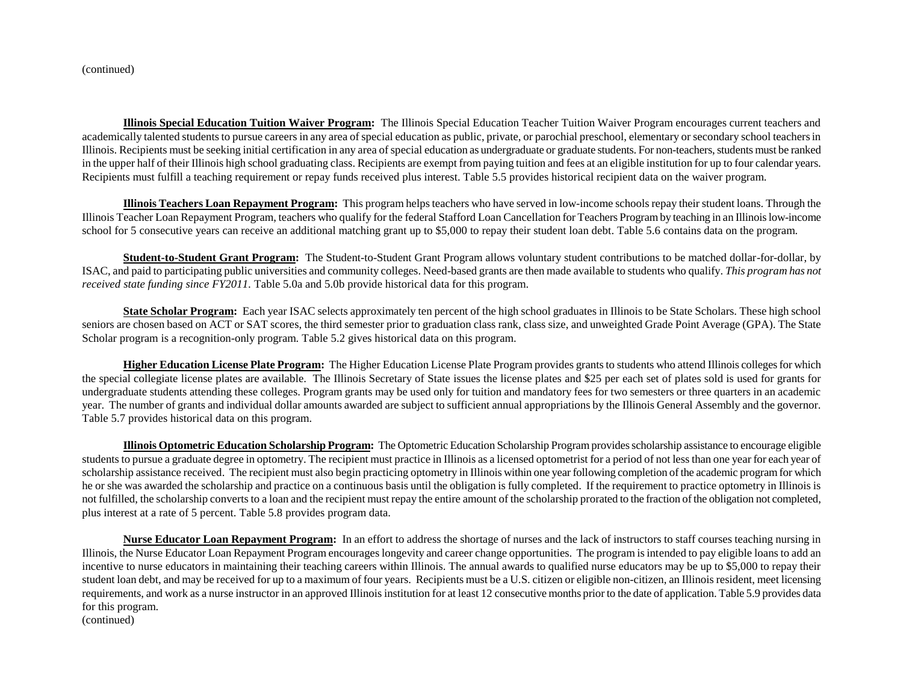(continued)

**Illinois Special Education Tuition Waiver Program:** The Illinois Special Education Teacher Tuition Waiver Program encourages current teachers and academically talented students to pursue careers in any area of special education as public, private, or parochial preschool, elementary or secondary school teachers in Illinois. Recipients must be seeking initial certification in any area of special education as undergraduate or graduate students. For non-teachers, students must be ranked in the upper half of their Illinois high school graduating class. Recipients are exempt from paying tuition and fees at an eligible institution for up to four calendar years. Recipients must fulfill a teaching requirement or repay funds received plus interest. Table 5.5 provides historical recipient data on the waiver program.

**Illinois Teachers Loan Repayment Program:** This program helps teachers who have served in low-income schools repay their student loans. Through the Illinois Teacher Loan Repayment Program, teachers who qualify for the federal Stafford Loan Cancellation for Teachers Program by teaching in an Illinois low-income school for 5 consecutive years can receive an additional matching grant up to \$5,000 to repay their student loan debt. Table 5.6 contains data on the program.

**Student-to-Student Grant Program:** The Student-to-Student Grant Program allows voluntary student contributions to be matched dollar-for-dollar, by ISAC, and paid to participating public universities and community colleges. Need-based grants are then made available to students who qualify. *This program has not received state funding since FY2011.* Table 5.0a and 5.0b provide historical data for this program.

**State Scholar Program:** Each year ISAC selects approximately ten percent of the high school graduates in Illinois to be State Scholars. These high school seniors are chosen based on ACT or SAT scores, the third semester prior to graduation class rank, class size, and unweighted Grade Point Average (GPA). The State Scholar program is a recognition-only program. Table 5.2 gives historical data on this program.

**Higher Education License Plate Program:** The Higher Education License Plate Program provides grants to students who attend Illinois colleges for which the special collegiate license plates are available. The Illinois Secretary of State issues the license plates and \$25 per each set of plates sold is used for grants for undergraduate students attending these colleges. Program grants may be used only for tuition and mandatory fees for two semesters or three quarters in an academic year. The number of grants and individual dollar amounts awarded are subject to sufficient annual appropriations by the Illinois General Assembly and the governor. Table 5.7 provides historical data on this program.

**Illinois Optometric Education Scholarship Program:** The Optometric Education Scholarship Programprovides scholarship assistance to encourage eligible students to pursue a graduate degree in optometry. The recipient must practice in Illinois as a licensed optometrist for a period of not less than one year for each year of scholarship assistance received. The recipient must also begin practicing optometry in Illinois within one year following completion of the academic program for which he or she was awarded the scholarship and practice on a continuous basis until the obligation is fully completed. If the requirement to practice optometry in Illinois is not fulfilled, the scholarship converts to a loan and the recipient must repay the entire amount of the scholarship prorated to the fraction of the obligation not completed, plus interest at a rate of 5 percent. Table 5.8 provides program data.

**Nurse Educator Loan Repayment Program:** In an effort to address the shortage of nurses and the lack of instructors to staff courses teaching nursing in Illinois, the Nurse Educator Loan Repayment Program encourages longevity and career change opportunities. The program is intended to pay eligible loans to add an incentive to nurse educators in maintaining their teaching careers within Illinois. The annual awards to qualified nurse educators may be up to \$5,000 to repay their student loan debt, and may be received for up to a maximum of four years. Recipients must be a U.S. citizen or eligible non-citizen, an Illinois resident, meet licensing requirements, and work as a nurse instructor in an approved Illinois institution for at least 12 consecutive months prior to the date of application. Table 5.9 provides data for this program.

(continued)